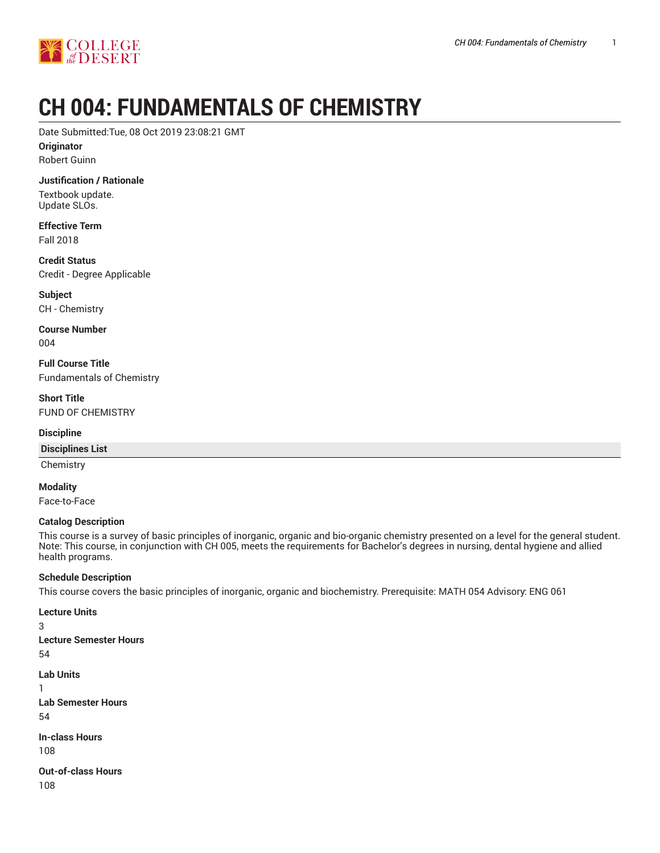

# **CH 004: FUNDAMENTALS OF CHEMISTRY**

Date Submitted:Tue, 08 Oct 2019 23:08:21 GMT

**Originator**

Robert Guinn

**Justification / Rationale**

Textbook update. Update SLOs.

**Effective Term** Fall 2018

**Credit Status** Credit - Degree Applicable

**Subject** CH - Chemistry

**Course Number** 004

**Full Course Title** Fundamentals of Chemistry

**Short Title** FUND OF CHEMISTRY

## **Discipline**

#### **Disciplines List**

**Chemistry** 

**Modality**

Face-to-Face

## **Catalog Description**

This course is a survey of basic principles of inorganic, organic and bio-organic chemistry presented on a level for the general student. Note: This course, in conjunction with CH 005, meets the requirements for Bachelor's degrees in nursing, dental hygiene and allied health programs.

## **Schedule Description**

This course covers the basic principles of inorganic, organic and biochemistry. Prerequisite: MATH 054 Advisory: ENG 061

**Lecture Units**

3

- **Lecture Semester Hours** 54
- **Lab Units**
- 1
- **Lab Semester Hours** 54

**In-class Hours** 108

**Out-of-class Hours**

108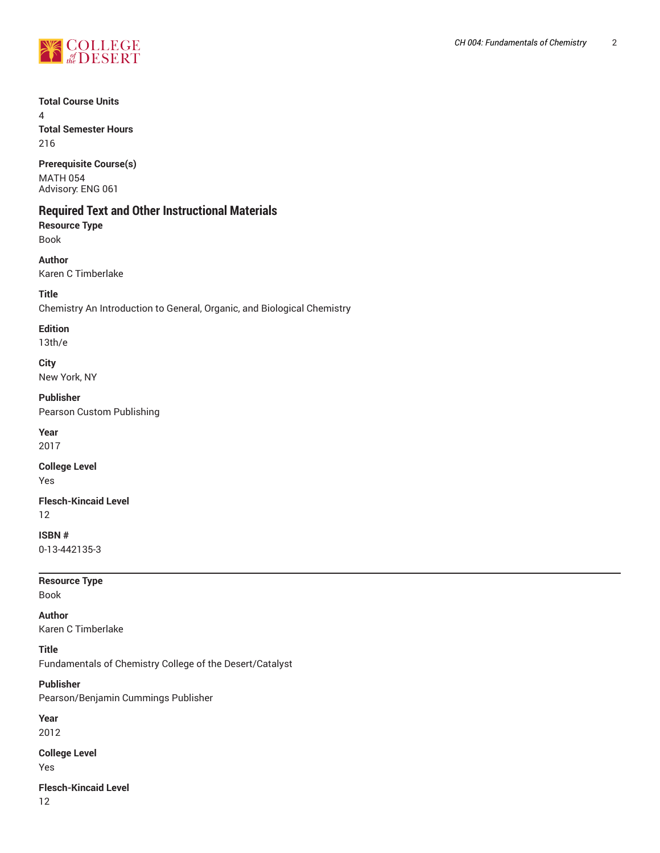

## **Total Course Units**

4 **Total Semester Hours** 216

**Prerequisite Course(s)** MATH 054 Advisory: ENG 061

# **Required Text and Other Instructional Materials**

**Resource Type** Book

**Author** Karen C Timberlake

**Title**

Chemistry An Introduction to General, Organic, and Biological Chemistry

## **Edition**

13th/e

# **City**

New York, NY

**Publisher** Pearson Custom Publishing

**Year**

2017

**College Level** Yes

**Flesch-Kincaid Level** 12

**ISBN #** 0-13-442135-3

**Resource Type**

Book

**Author**

Karen C Timberlake

**Title**

Fundamentals of Chemistry College of the Desert/Catalyst

## **Publisher**

Pearson/Benjamin Cummings Publisher

**Year** 2012

**College Level**

Yes

**Flesch-Kincaid Level**

12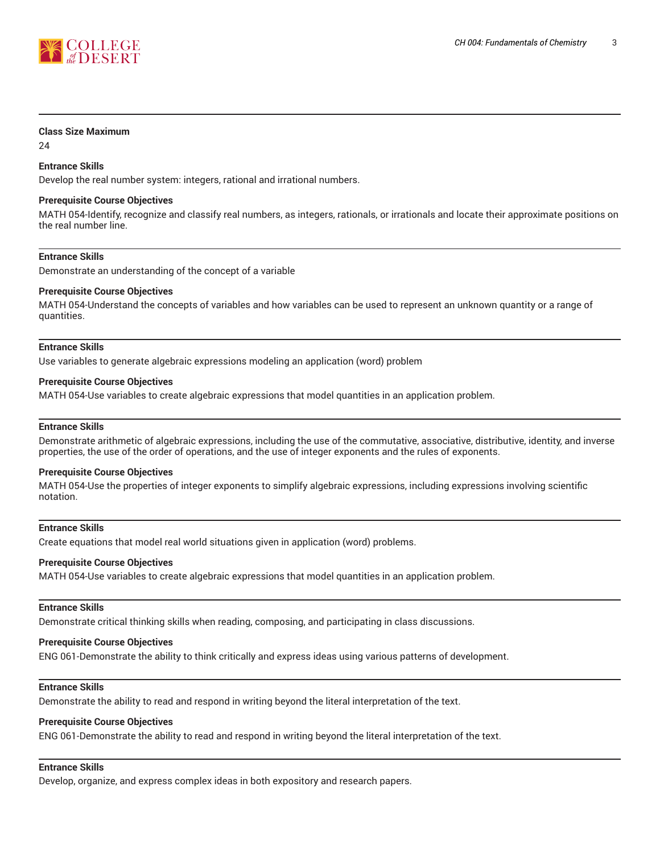

#### **Class Size Maximum**

24

## **Entrance Skills**

Develop the real number system: integers, rational and irrational numbers.

#### **Prerequisite Course Objectives**

MATH 054-Identify, recognize and classify real numbers, as integers, rationals, or irrationals and locate their approximate positions on the real number line.

#### **Entrance Skills**

Demonstrate an understanding of the concept of a variable

#### **Prerequisite Course Objectives**

MATH 054-Understand the concepts of variables and how variables can be used to represent an unknown quantity or a range of quantities.

#### **Entrance Skills**

Use variables to generate algebraic expressions modeling an application (word) problem

#### **Prerequisite Course Objectives**

MATH 054-Use variables to create algebraic expressions that model quantities in an application problem.

#### **Entrance Skills**

Demonstrate arithmetic of algebraic expressions, including the use of the commutative, associative, distributive, identity, and inverse properties, the use of the order of operations, and the use of integer exponents and the rules of exponents.

#### **Prerequisite Course Objectives**

MATH 054-Use the properties of integer exponents to simplify algebraic expressions, including expressions involving scientific notation.

#### **Entrance Skills**

Create equations that model real world situations given in application (word) problems.

#### **Prerequisite Course Objectives**

MATH 054-Use variables to create algebraic expressions that model quantities in an application problem.

#### **Entrance Skills**

Demonstrate critical thinking skills when reading, composing, and participating in class discussions.

#### **Prerequisite Course Objectives**

ENG 061-Demonstrate the ability to think critically and express ideas using various patterns of development.

#### **Entrance Skills**

Demonstrate the ability to read and respond in writing beyond the literal interpretation of the text.

## **Prerequisite Course Objectives**

ENG 061-Demonstrate the ability to read and respond in writing beyond the literal interpretation of the text.

# **Entrance Skills**

Develop, organize, and express complex ideas in both expository and research papers.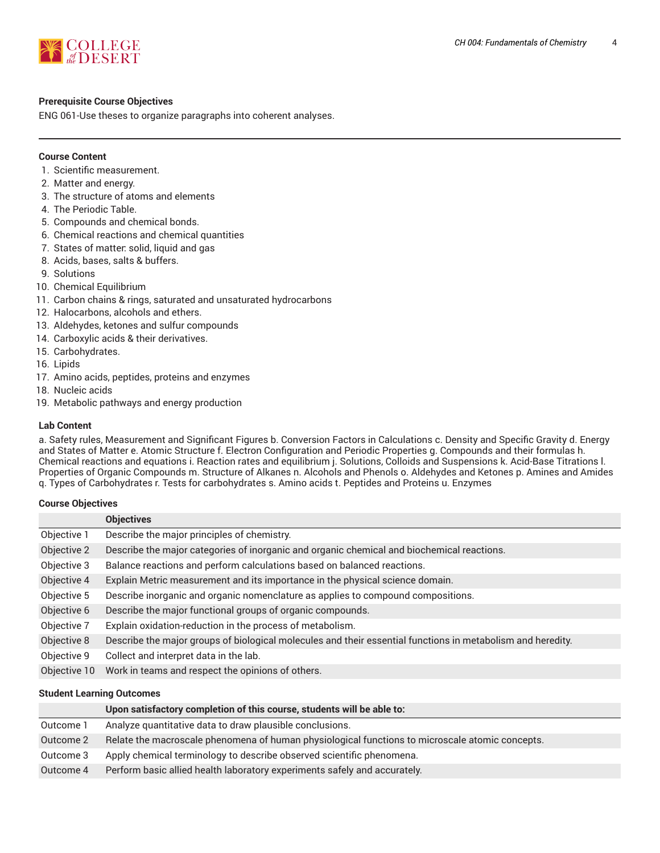

## **Prerequisite Course Objectives**

ENG 061-Use theses to organize paragraphs into coherent analyses.

## **Course Content**

- 1. Scientific measurement.
- 2. Matter and energy.
- 3. The structure of atoms and elements
- 4. The Periodic Table.
- 5. Compounds and chemical bonds.
- 6. Chemical reactions and chemical quantities
- 7. States of matter: solid, liquid and gas
- 8. Acids, bases, salts & buffers.
- 9. Solutions
- 10. Chemical Equilibrium
- 11. Carbon chains & rings, saturated and unsaturated hydrocarbons
- 12. Halocarbons, alcohols and ethers.
- 13. Aldehydes, ketones and sulfur compounds
- 14. Carboxylic acids & their derivatives.
- 15. Carbohydrates.
- 16. Lipids
- 17. Amino acids, peptides, proteins and enzymes
- 18. Nucleic acids
- 19. Metabolic pathways and energy production

#### **Lab Content**

a. Safety rules, Measurement and Significant Figures b. Conversion Factors in Calculations c. Density and Specific Gravity d. Energy and States of Matter e. Atomic Structure f. Electron Configuration and Periodic Properties g. Compounds and their formulas h. Chemical reactions and equations i. Reaction rates and equilibrium j. Solutions, Colloids and Suspensions k. Acid-Base Titrations l. Properties of Organic Compounds m. Structure of Alkanes n. Alcohols and Phenols o. Aldehydes and Ketones p. Amines and Amides q. Types of Carbohydrates r. Tests for carbohydrates s. Amino acids t. Peptides and Proteins u. Enzymes

#### **Course Objectives**

|              | <b>Objectives</b>                                                                                           |  |
|--------------|-------------------------------------------------------------------------------------------------------------|--|
| Objective 1  | Describe the major principles of chemistry.                                                                 |  |
| Objective 2  | Describe the major categories of inorganic and organic chemical and biochemical reactions.                  |  |
| Objective 3  | Balance reactions and perform calculations based on balanced reactions.                                     |  |
| Objective 4  | Explain Metric measurement and its importance in the physical science domain.                               |  |
| Objective 5  | Describe inorganic and organic nomenclature as applies to compound compositions.                            |  |
| Objective 6  | Describe the major functional groups of organic compounds.                                                  |  |
| Objective 7  | Explain oxidation-reduction in the process of metabolism.                                                   |  |
| Objective 8  | Describe the major groups of biological molecules and their essential functions in metabolism and heredity. |  |
| Objective 9  | Collect and interpret data in the lab.                                                                      |  |
| Objective 10 | Work in teams and respect the opinions of others.                                                           |  |

#### **Student Learning Outcomes**

|           | Upon satisfactory completion of this course, students will be able to:                          |  |
|-----------|-------------------------------------------------------------------------------------------------|--|
| Outcome 1 | Analyze quantitative data to draw plausible conclusions.                                        |  |
| Outcome 2 | Relate the macroscale phenomena of human physiological functions to microscale atomic concepts. |  |
| Outcome 3 | Apply chemical terminology to describe observed scientific phenomena.                           |  |
| Outcome 4 | Perform basic allied health laboratory experiments safely and accurately.                       |  |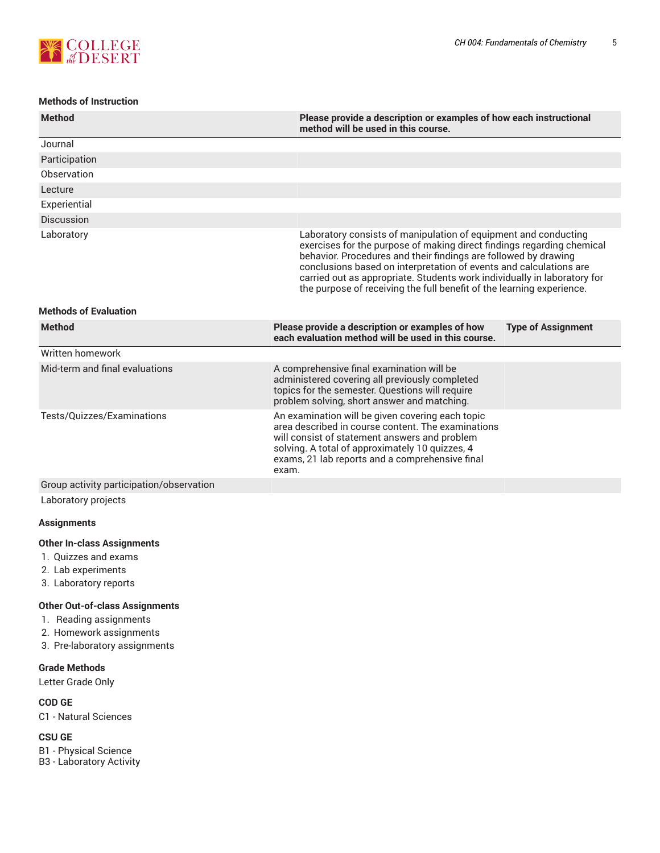

## **Methods of Instruction**

| <b>Method</b>                                                                                            | Please provide a description or examples of how each instructional<br>method will be used in this course.                                                                                                                                                                                                                                                                                                                               |
|----------------------------------------------------------------------------------------------------------|-----------------------------------------------------------------------------------------------------------------------------------------------------------------------------------------------------------------------------------------------------------------------------------------------------------------------------------------------------------------------------------------------------------------------------------------|
| Journal                                                                                                  |                                                                                                                                                                                                                                                                                                                                                                                                                                         |
| Participation                                                                                            |                                                                                                                                                                                                                                                                                                                                                                                                                                         |
| Observation                                                                                              |                                                                                                                                                                                                                                                                                                                                                                                                                                         |
| Lecture                                                                                                  |                                                                                                                                                                                                                                                                                                                                                                                                                                         |
| Experiential                                                                                             |                                                                                                                                                                                                                                                                                                                                                                                                                                         |
| Discussion                                                                                               |                                                                                                                                                                                                                                                                                                                                                                                                                                         |
| Laboratory                                                                                               | Laboratory consists of manipulation of equipment and conducting<br>exercises for the purpose of making direct findings regarding chemical<br>behavior. Procedures and their findings are followed by drawing<br>conclusions based on interpretation of events and calculations are<br>carried out as appropriate. Students work individually in laboratory for<br>the purpose of receiving the full benefit of the learning experience. |
| <b>Methods of Evaluation</b>                                                                             |                                                                                                                                                                                                                                                                                                                                                                                                                                         |
| <b>Method</b>                                                                                            | Please provide a description or examples of how<br><b>Type of Assignment</b><br>each evaluation method will be used in this course.                                                                                                                                                                                                                                                                                                     |
| Written homework                                                                                         |                                                                                                                                                                                                                                                                                                                                                                                                                                         |
| Mid-term and final evaluations                                                                           | A comprehensive final examination will be<br>administered covering all previously completed<br>topics for the semester. Questions will require<br>problem solving, short answer and matching.                                                                                                                                                                                                                                           |
| Tests/Quizzes/Examinations                                                                               | An examination will be given covering each topic<br>area described in course content. The examinations<br>will consist of statement answers and problem<br>solving. A total of approximately 10 quizzes, 4<br>exams, 21 lab reports and a comprehensive final<br>exam.                                                                                                                                                                  |
| Group activity participation/observation                                                                 |                                                                                                                                                                                                                                                                                                                                                                                                                                         |
| Laboratory projects                                                                                      |                                                                                                                                                                                                                                                                                                                                                                                                                                         |
| <b>Assignments</b>                                                                                       |                                                                                                                                                                                                                                                                                                                                                                                                                                         |
| <b>Other In-class Assignments</b><br>1. Quizzes and exams<br>2. Lab experiments<br>3. Laboratory reports |                                                                                                                                                                                                                                                                                                                                                                                                                                         |
| <b>Other Out-of-class Assignments</b>                                                                    |                                                                                                                                                                                                                                                                                                                                                                                                                                         |

- 1. Reading assignments
- 2. Homework assignments
- 3. Pre-laboratory assignments

## **Grade Methods**

Letter Grade Only

## **COD GE**

C1 - Natural Sciences

## **CSU GE**

B1 - Physical Science B3 - Laboratory Activity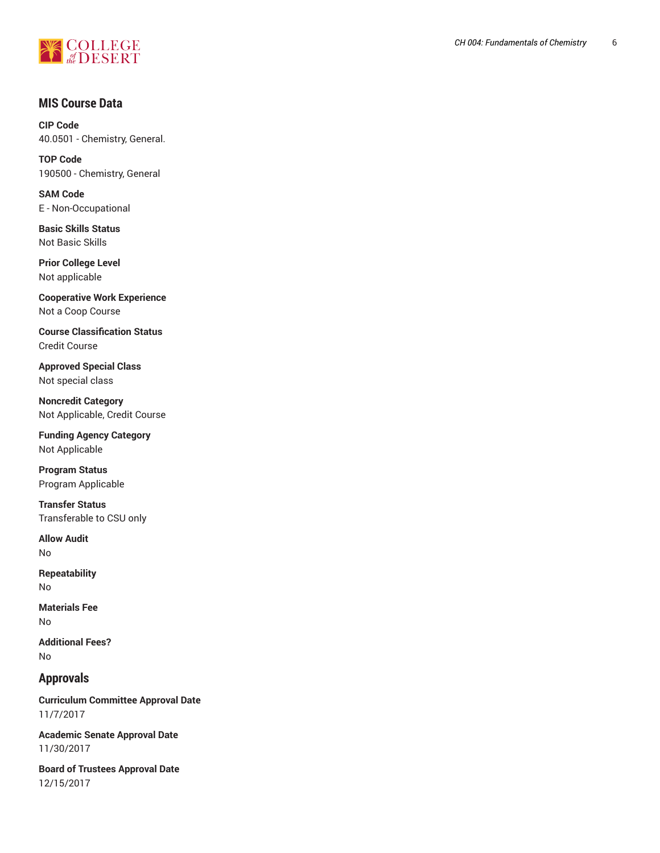

# **MIS Course Data**

**CIP Code** 40.0501 - Chemistry, General.

**TOP Code** 190500 - Chemistry, General

**SAM Code** E - Non-Occupational

**Basic Skills Status** Not Basic Skills

**Prior College Level** Not applicable

**Cooperative Work Experience** Not a Coop Course

**Course Classification Status** Credit Course

**Approved Special Class** Not special class

**Noncredit Category** Not Applicable, Credit Course

**Funding Agency Category** Not Applicable

**Program Status** Program Applicable

**Transfer Status** Transferable to CSU only

**Allow Audit** No

**Repeatability** No

**Materials Fee** No

**Additional Fees?** No

# **Approvals**

**Curriculum Committee Approval Date** 11/7/2017

**Academic Senate Approval Date** 11/30/2017

**Board of Trustees Approval Date** 12/15/2017